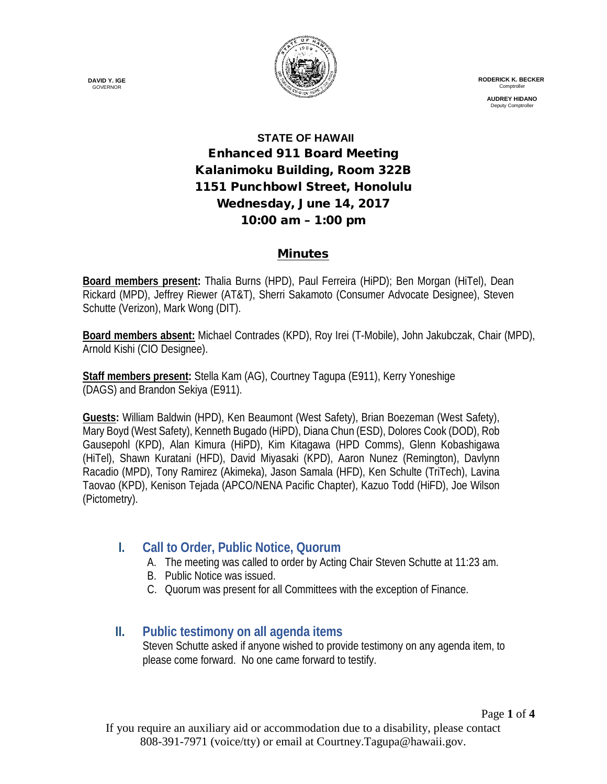

 **RODERICK K. BECKER Comptroller** 

> **AUDREY HIDANO** Deputy Comptro

# **STATE OF HAWAII** Enhanced 911 Board Meeting Kalanimoku Building, Room 322B 1151 Punchbowl Street, Honolulu Wednesday, June 14, 2017 10:00 am – 1:00 pm

#### Minutes

**Board members present:** Thalia Burns (HPD), Paul Ferreira (HiPD); Ben Morgan (HiTel), Dean Rickard (MPD), Jeffrey Riewer (AT&T), Sherri Sakamoto (Consumer Advocate Designee), Steven Schutte (Verizon), Mark Wong (DIT).

**Board members absent:** Michael Contrades (KPD), Roy Irei (T-Mobile), John Jakubczak, Chair (MPD), Arnold Kishi (CIO Designee).

**Staff members present:** Stella Kam (AG), Courtney Tagupa (E911), Kerry Yoneshige (DAGS) and Brandon Sekiya (E911).

**Guests:** William Baldwin (HPD), Ken Beaumont (West Safety), Brian Boezeman (West Safety), Mary Boyd (West Safety), Kenneth Bugado (HiPD), Diana Chun (ESD), Dolores Cook (DOD), Rob Gausepohl (KPD), Alan Kimura (HiPD), Kim Kitagawa (HPD Comms), Glenn Kobashigawa (HiTel), Shawn Kuratani (HFD), David Miyasaki (KPD), Aaron Nunez (Remington), Davlynn Racadio (MPD), Tony Ramirez (Akimeka), Jason Samala (HFD), Ken Schulte (TriTech), Lavina Taovao (KPD), Kenison Tejada (APCO/NENA Pacific Chapter), Kazuo Todd (HiFD), Joe Wilson (Pictometry).

## **I. Call to Order, Public Notice, Quorum**

- A. The meeting was called to order by Acting Chair Steven Schutte at 11:23 am.
- B. Public Notice was issued.
- C. Quorum was present for all Committees with the exception of Finance.

## **II. Public testimony on all agenda items**

Steven Schutte asked if anyone wished to provide testimony on any agenda item, to please come forward. No one came forward to testify.

**DAVID Y. IGE GOVERNOR**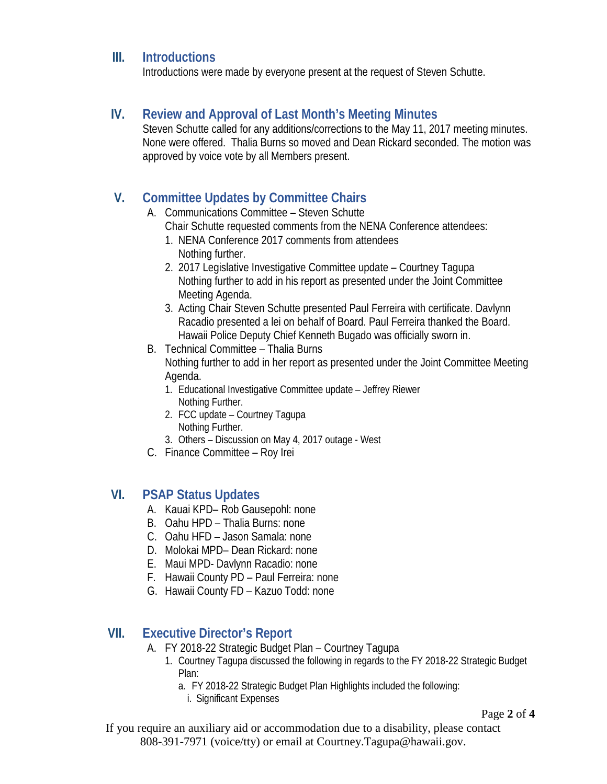#### **III. Introductions**

Introductions were made by everyone present at the request of Steven Schutte.

#### **IV. Review and Approval of Last Month's Meeting Minutes**

Steven Schutte called for any additions/corrections to the May 11, 2017 meeting minutes. None were offered. Thalia Burns so moved and Dean Rickard seconded. The motion was approved by voice vote by all Members present.

## **V. Committee Updates by Committee Chairs**

- A. Communications Committee Steven Schutte
	- Chair Schutte requested comments from the NENA Conference attendees:
	- 1. NENA Conference 2017 comments from attendees Nothing further.
	- 2. 2017 Legislative Investigative Committee update Courtney Tagupa Nothing further to add in his report as presented under the Joint Committee Meeting Agenda.
	- 3. Acting Chair Steven Schutte presented Paul Ferreira with certificate. Davlynn Racadio presented a lei on behalf of Board. Paul Ferreira thanked the Board. Hawaii Police Deputy Chief Kenneth Bugado was officially sworn in.
- B. Technical Committee Thalia Burns Nothing further to add in her report as presented under the Joint Committee Meeting Agenda.
	- 1. Educational Investigative Committee update Jeffrey Riewer Nothing Further.
	- 2. FCC update Courtney Tagupa Nothing Further.
	- 3. Others Discussion on May 4, 2017 outage West
- C. Finance Committee Roy Irei

## **VI. PSAP Status Updates**

- A. Kauai KPD– Rob Gausepohl: none
- B. Oahu HPD Thalia Burns: none
- C. Oahu HFD Jason Samala: none
- D. Molokai MPD– Dean Rickard: none
- E. Maui MPD- Davlynn Racadio: none
- F. Hawaii County PD Paul Ferreira: none
- G. Hawaii County FD Kazuo Todd: none

# **VII. Executive Director's Report**

- A. FY 2018-22 Strategic Budget Plan Courtney Tagupa
	- 1. Courtney Tagupa discussed the following in regards to the FY 2018-22 Strategic Budget Plan:
		- a. FY 2018-22 Strategic Budget Plan Highlights included the following:
			- i. Significant Expenses

Page **2** of **4**

If you require an auxiliary aid or accommodation due to a disability, please contact 808-391-7971 (voice/tty) or email at Courtney.Tagupa@hawaii.gov.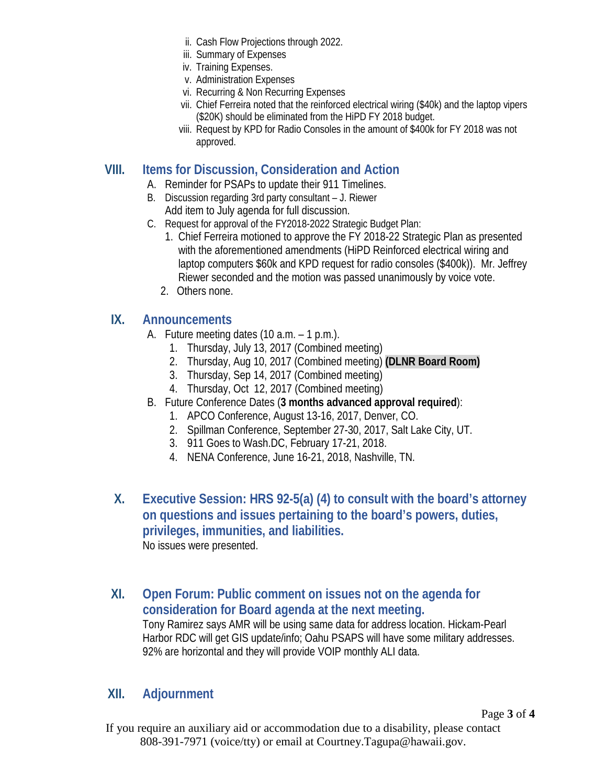- ii. Cash Flow Projections through 2022.
- iii. Summary of Expenses
- iv. Training Expenses.
- v. Administration Expenses
- vi. Recurring & Non Recurring Expenses
- vii. Chief Ferreira noted that the reinforced electrical wiring (\$40k) and the laptop vipers (\$20K) should be eliminated from the HiPD FY 2018 budget.
- viii. Request by KPD for Radio Consoles in the amount of \$400k for FY 2018 was not approved.

## **VIII. Items for Discussion, Consideration and Action**

- A. Reminder for PSAPs to update their 911 Timelines.
- B. Discussion regarding 3rd party consultant J. Riewer Add item to July agenda for full discussion.
- C. Request for approval of the FY2018-2022 Strategic Budget Plan:
	- 1. Chief Ferreira motioned to approve the FY 2018-22 Strategic Plan as presented with the aforementioned amendments (HiPD Reinforced electrical wiring and laptop computers \$60k and KPD request for radio consoles (\$400k)). Mr. Jeffrey Riewer seconded and the motion was passed unanimously by voice vote.
	- 2. Others none.

## **IX. Announcements**

- A. Future meeting dates (10 a.m. 1 p.m.).
	- 1. Thursday, July 13, 2017 (Combined meeting)
	- 2. Thursday, Aug 10, 2017 (Combined meeting) **(DLNR Board Room)**
	- 3. Thursday, Sep 14, 2017 (Combined meeting)
	- 4. Thursday, Oct 12, 2017 (Combined meeting)
- B. Future Conference Dates (**3 months advanced approval required**):
	- 1. APCO Conference, August 13-16, 2017, Denver, CO.
	- 2. Spillman Conference, September 27-30, 2017, Salt Lake City, UT.
	- 3. 911 Goes to Wash.DC, February 17-21, 2018.
	- 4. NENA Conference, June 16-21, 2018, Nashville, TN.
- **X. Executive Session: HRS 92-5(a) (4) to consult with the board's attorney on questions and issues pertaining to the board's powers, duties, privileges, immunities, and liabilities.** No issues were presented.
- **XI. Open Forum: Public comment on issues not on the agenda for consideration for Board agenda at the next meeting.** Tony Ramirez says AMR will be using same data for address location. Hickam-Pearl Harbor RDC will get GIS update/info; Oahu PSAPS will have some military addresses. 92% are horizontal and they will provide VOIP monthly ALI data.

#### **XII. Adjournment**

Page **3** of **4**

If you require an auxiliary aid or accommodation due to a disability, please contact 808-391-7971 (voice/tty) or email at Courtney.Tagupa@hawaii.gov.